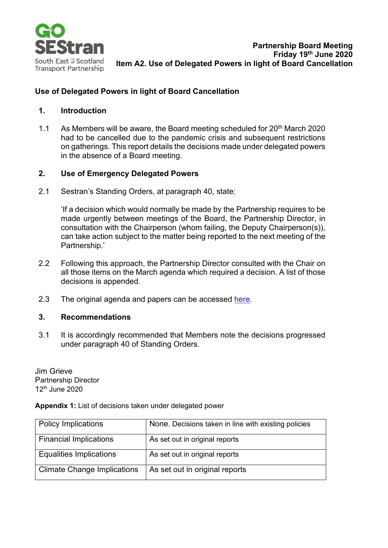

## **Use of Delegated Powers in light of Board Cancellation**

## **1. Introduction**

1.1 As Members will be aware, the Board meeting scheduled for  $20^{th}$  March 2020 had to be cancelled due to the pandemic crisis and subsequent restrictions on gatherings. This report details the decisions made under delegated powers in the absence of a Board meeting.

## **2. Use of Emergency Delegated Powers**

2.1 Sestran's Standing Orders, at paragraph 40, state:

> 'If a decision which would normally be made by the Partnership requires to be made urgently between meetings of the Board, the Partnership Director, in consultation with the Chairperson (whom failing, the Deputy Chairperson(s)), can take action subject to the matter being reported to the next meeting of the Partnership.'

- 2.2 Following this approach, the Partnership Director consulted with the Chair on all those items on the March agenda which required a decision. A list of those decisions is appended.
- 2.3 The original agenda and papers can be accessed [here.](https://sestran.gov.uk/meeting/partnership-board-22/)

## **3. Recommendations**

3.1 It is accordingly recommended that Members note the decisions progressed under paragraph 40 of Standing Orders.

Jim Grieve Partnership Director 12th June 2020

**Appendix 1:** List of decisions taken under delegated power

| <b>Policy Implications</b>         | None. Decisions taken in line with existing policies |
|------------------------------------|------------------------------------------------------|
| <b>Financial Implications</b>      | As set out in original reports                       |
| <b>Equalities Implications</b>     | As set out in original reports                       |
| <b>Climate Change Implications</b> | As set out in original reports                       |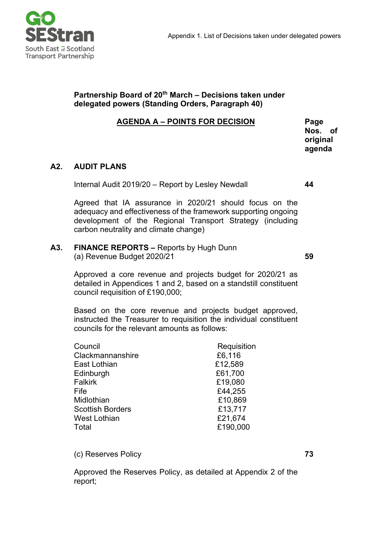

## **Partnership Board of 20th March – Decisions taken under delegated powers (Standing Orders, Paragraph 40)**

## **AGENDA A – POINTS FOR DECISION Page**

**Nos. of original agenda**

# **A2. AUDIT PLANS**

Internal Audit 2019/20 – Report by Lesley Newdall **44**

Agreed that IA assurance in 2020/21 should focus on the adequacy and effectiveness of the framework supporting ongoing development of the Regional Transport Strategy (including carbon neutrality and climate change)

#### **A3. FINANCE REPORTS –** Reports by Hugh Dunn (a) Revenue Budget 2020/21

**59**

Approved a core revenue and projects budget for 2020/21 as detailed in Appendices 1 and 2, based on a standstill constituent council requisition of £190,000;

Based on the core revenue and projects budget approved, instructed the Treasurer to requisition the individual constituent councils for the relevant amounts as follows:

| Council                 | Requisition |
|-------------------------|-------------|
| Clackmannanshire        | £6,116      |
| East Lothian            | £12,589     |
| Edinburgh               | £61,700     |
| <b>Falkirk</b>          | £19,080     |
| Fife                    | £44,255     |
| Midlothian              | £10,869     |
| <b>Scottish Borders</b> | £13,717     |
| West Lothian            | £21,674     |
| Total                   | £190,000    |
|                         |             |

(c) Reserves Policy

Approved the Reserves Policy, as detailed at Appendix 2 of the report;

**73**